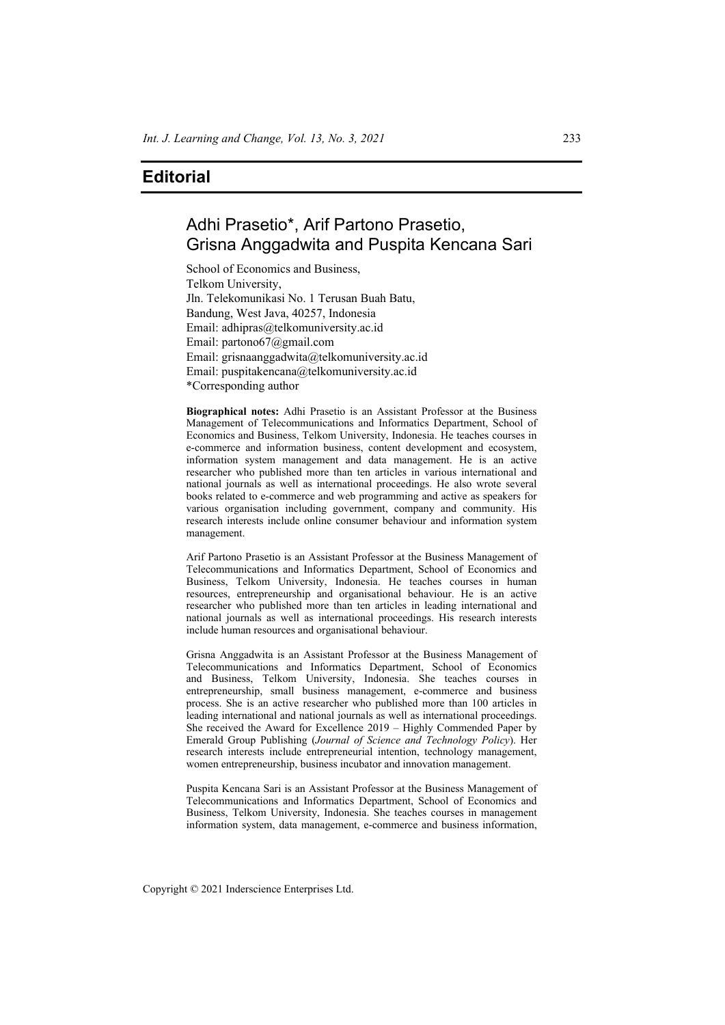## **Editorial**

## Adhi Prasetio\*, Arif Partono Prasetio, Grisna Anggadwita and Puspita Kencana Sari

School of Economics and Business, Telkom University, Jln. Telekomunikasi No. 1 Terusan Buah Batu, Bandung, West Java, 40257, Indonesia Email: adhipras@telkomuniversity.ac.id Email: partono67@gmail.com Email: grisnaanggadwita@telkomuniversity.ac.id Email: puspitakencana@telkomuniversity.ac.id \*Corresponding author

**Biographical notes:** Adhi Prasetio is an Assistant Professor at the Business Management of Telecommunications and Informatics Department, School of Economics and Business, Telkom University, Indonesia. He teaches courses in e-commerce and information business, content development and ecosystem, information system management and data management. He is an active researcher who published more than ten articles in various international and national journals as well as international proceedings. He also wrote several books related to e-commerce and web programming and active as speakers for various organisation including government, company and community. His research interests include online consumer behaviour and information system management.

Arif Partono Prasetio is an Assistant Professor at the Business Management of Telecommunications and Informatics Department, School of Economics and Business, Telkom University, Indonesia. He teaches courses in human resources, entrepreneurship and organisational behaviour. He is an active researcher who published more than ten articles in leading international and national journals as well as international proceedings. His research interests include human resources and organisational behaviour.

Grisna Anggadwita is an Assistant Professor at the Business Management of Telecommunications and Informatics Department, School of Economics and Business, Telkom University, Indonesia. She teaches courses in entrepreneurship, small business management, e-commerce and business process. She is an active researcher who published more than 100 articles in leading international and national journals as well as international proceedings. She received the Award for Excellence 2019 – Highly Commended Paper by Emerald Group Publishing (*Journal of Science and Technology Policy*). Her research interests include entrepreneurial intention, technology management, women entrepreneurship, business incubator and innovation management.

Puspita Kencana Sari is an Assistant Professor at the Business Management of Telecommunications and Informatics Department, School of Economics and Business, Telkom University, Indonesia. She teaches courses in management information system, data management, e-commerce and business information,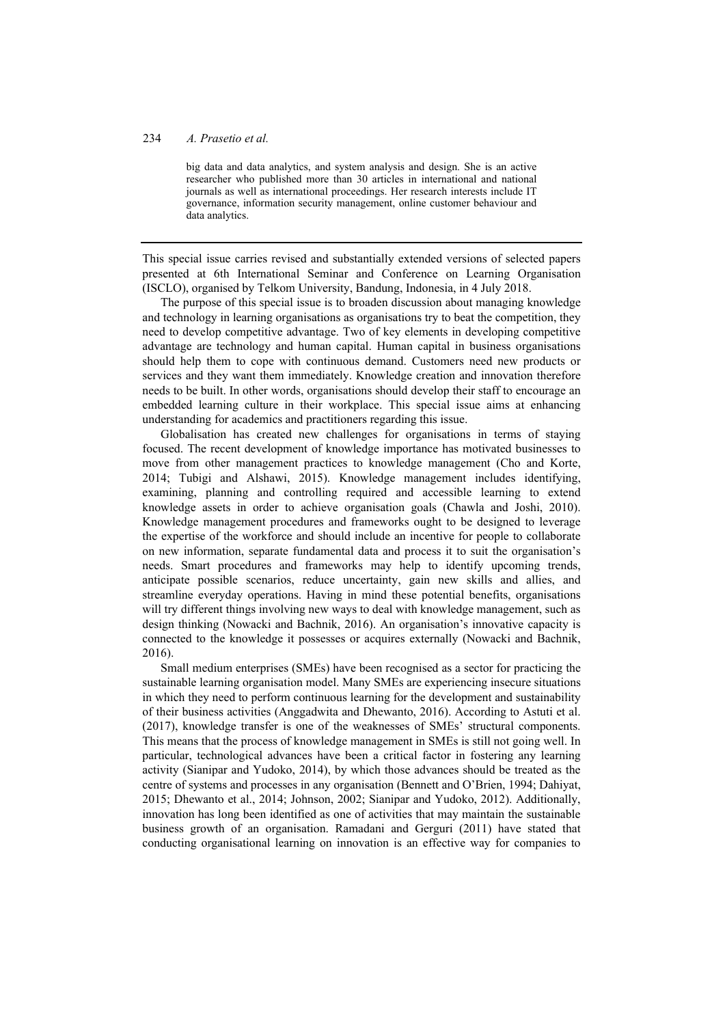## 234 *A. Prasetio et al.*

big data and data analytics, and system analysis and design. She is an active researcher who published more than 30 articles in international and national journals as well as international proceedings. Her research interests include IT governance, information security management, online customer behaviour and data analytics.

This special issue carries revised and substantially extended versions of selected papers presented at 6th International Seminar and Conference on Learning Organisation (ISCLO), organised by Telkom University, Bandung, Indonesia, in 4 July 2018.

The purpose of this special issue is to broaden discussion about managing knowledge and technology in learning organisations as organisations try to beat the competition, they need to develop competitive advantage. Two of key elements in developing competitive advantage are technology and human capital. Human capital in business organisations should help them to cope with continuous demand. Customers need new products or services and they want them immediately. Knowledge creation and innovation therefore needs to be built. In other words, organisations should develop their staff to encourage an embedded learning culture in their workplace. This special issue aims at enhancing understanding for academics and practitioners regarding this issue.

Globalisation has created new challenges for organisations in terms of staying focused. The recent development of knowledge importance has motivated businesses to move from other management practices to knowledge management (Cho and Korte, 2014; Tubigi and Alshawi, 2015). Knowledge management includes identifying, examining, planning and controlling required and accessible learning to extend knowledge assets in order to achieve organisation goals (Chawla and Joshi, 2010). Knowledge management procedures and frameworks ought to be designed to leverage the expertise of the workforce and should include an incentive for people to collaborate on new information, separate fundamental data and process it to suit the organisation's needs. Smart procedures and frameworks may help to identify upcoming trends, anticipate possible scenarios, reduce uncertainty, gain new skills and allies, and streamline everyday operations. Having in mind these potential benefits, organisations will try different things involving new ways to deal with knowledge management, such as design thinking (Nowacki and Bachnik, 2016). An organisation's innovative capacity is connected to the knowledge it possesses or acquires externally (Nowacki and Bachnik, 2016).

Small medium enterprises (SMEs) have been recognised as a sector for practicing the sustainable learning organisation model. Many SMEs are experiencing insecure situations in which they need to perform continuous learning for the development and sustainability of their business activities (Anggadwita and Dhewanto, 2016). According to Astuti et al. (2017), knowledge transfer is one of the weaknesses of SMEs' structural components. This means that the process of knowledge management in SMEs is still not going well. In particular, technological advances have been a critical factor in fostering any learning activity (Sianipar and Yudoko, 2014), by which those advances should be treated as the centre of systems and processes in any organisation (Bennett and O'Brien, 1994; Dahiyat, 2015; Dhewanto et al., 2014; Johnson, 2002; Sianipar and Yudoko, 2012). Additionally, innovation has long been identified as one of activities that may maintain the sustainable business growth of an organisation. Ramadani and Gerguri (2011) have stated that conducting organisational learning on innovation is an effective way for companies to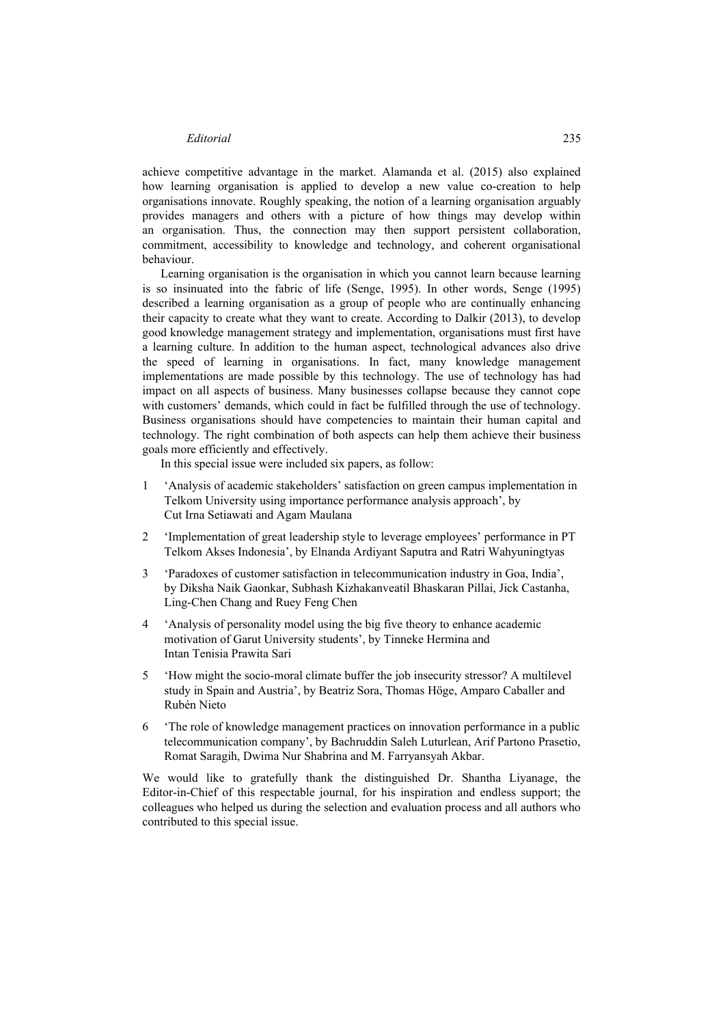achieve competitive advantage in the market. Alamanda et al. (2015) also explained how learning organisation is applied to develop a new value co-creation to help organisations innovate. Roughly speaking, the notion of a learning organisation arguably provides managers and others with a picture of how things may develop within an organisation. Thus, the connection may then support persistent collaboration, commitment, accessibility to knowledge and technology, and coherent organisational behaviour.

Learning organisation is the organisation in which you cannot learn because learning is so insinuated into the fabric of life (Senge, 1995). In other words, Senge (1995) described a learning organisation as a group of people who are continually enhancing their capacity to create what they want to create. According to Dalkir (2013), to develop good knowledge management strategy and implementation, organisations must first have a learning culture. In addition to the human aspect, technological advances also drive the speed of learning in organisations. In fact, many knowledge management implementations are made possible by this technology. The use of technology has had impact on all aspects of business. Many businesses collapse because they cannot cope with customers' demands, which could in fact be fulfilled through the use of technology. Business organisations should have competencies to maintain their human capital and technology. The right combination of both aspects can help them achieve their business goals more efficiently and effectively.

In this special issue were included six papers, as follow:

- 1 'Analysis of academic stakeholders' satisfaction on green campus implementation in Telkom University using importance performance analysis approach', by Cut Irna Setiawati and Agam Maulana
- 2 'Implementation of great leadership style to leverage employees' performance in PT Telkom Akses Indonesia', by Elnanda Ardiyant Saputra and Ratri Wahyuningtyas
- 3 'Paradoxes of customer satisfaction in telecommunication industry in Goa, India', by Diksha Naik Gaonkar, Subhash Kizhakanveatil Bhaskaran Pillai, Jick Castanha, Ling-Chen Chang and Ruey Feng Chen
- 4 'Analysis of personality model using the big five theory to enhance academic motivation of Garut University students', by Tinneke Hermina and Intan Tenisia Prawita Sari
- 5 'How might the socio-moral climate buffer the job insecurity stressor? A multilevel study in Spain and Austria', by Beatriz Sora, Thomas Höge, Amparo Caballer and Rubén Nieto
- 6 'The role of knowledge management practices on innovation performance in a public telecommunication company', by Bachruddin Saleh Luturlean, Arif Partono Prasetio, Romat Saragih, Dwima Nur Shabrina and M. Farryansyah Akbar.

We would like to gratefully thank the distinguished Dr. Shantha Liyanage, the Editor-in-Chief of this respectable journal, for his inspiration and endless support; the colleagues who helped us during the selection and evaluation process and all authors who contributed to this special issue.